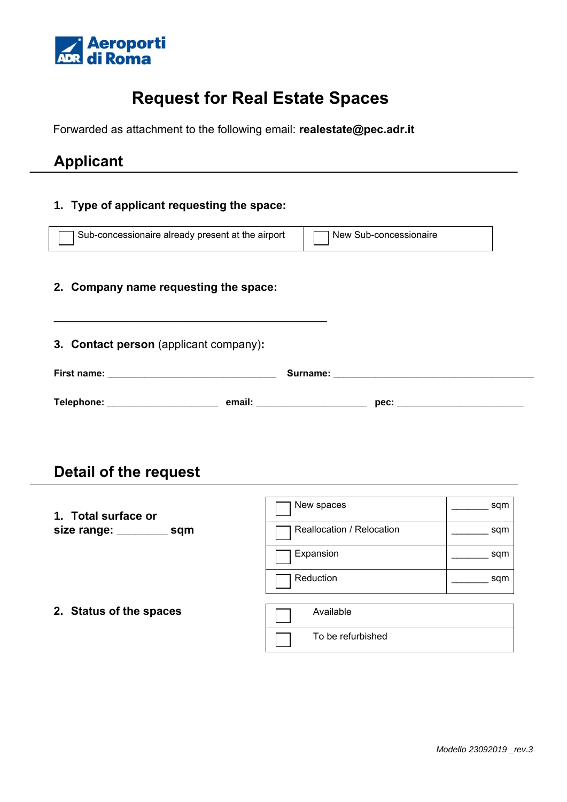

# **Request for Real Estate Spaces**

Forwarded as attachment to the following email: **realestate@pec.adr.it**

## **Applicant**

### **1. Type of applicant requesting the space:**

| Sub-concessionaire already present at the airport<br>New Sub-concessionaire |            |                           |                                                                                                                                                                                                                                                                                                                                                                                                                      |  |  |  |  |  |
|-----------------------------------------------------------------------------|------------|---------------------------|----------------------------------------------------------------------------------------------------------------------------------------------------------------------------------------------------------------------------------------------------------------------------------------------------------------------------------------------------------------------------------------------------------------------|--|--|--|--|--|
| 2. Company name requesting the space:                                       |            |                           |                                                                                                                                                                                                                                                                                                                                                                                                                      |  |  |  |  |  |
| 3. Contact person (applicant company):                                      |            |                           |                                                                                                                                                                                                                                                                                                                                                                                                                      |  |  |  |  |  |
|                                                                             |            |                           |                                                                                                                                                                                                                                                                                                                                                                                                                      |  |  |  |  |  |
|                                                                             |            |                           |                                                                                                                                                                                                                                                                                                                                                                                                                      |  |  |  |  |  |
| Detail of the request                                                       |            |                           |                                                                                                                                                                                                                                                                                                                                                                                                                      |  |  |  |  |  |
| 1. Total surface or                                                         | New spaces |                           | $\rule{1em}{0.15mm}$ sqm                                                                                                                                                                                                                                                                                                                                                                                             |  |  |  |  |  |
| size range: _________ sqm                                                   |            | Reallocation / Relocation | $\frac{1}{\sqrt{1-\frac{1}{2}}\sqrt{1-\frac{1}{2}}\sqrt{1-\frac{1}{2}}\sqrt{1-\frac{1}{2}}\sqrt{1-\frac{1}{2}}\sqrt{1-\frac{1}{2}}\sqrt{1-\frac{1}{2}}\sqrt{1-\frac{1}{2}}\sqrt{1-\frac{1}{2}}\sqrt{1-\frac{1}{2}}\sqrt{1-\frac{1}{2}}\sqrt{1-\frac{1}{2}}\sqrt{1-\frac{1}{2}}\sqrt{1-\frac{1}{2}}\sqrt{1-\frac{1}{2}}\sqrt{1-\frac{1}{2}}\sqrt{1-\frac{1}{2}}\sqrt{1-\frac{1}{2}}\sqrt{1-\frac{1}{2}}\sqrt{1-\frac$ |  |  |  |  |  |
|                                                                             | Expansion  |                           | $\frac{1}{\sqrt{1-\frac{1}{2}}\sqrt{1-\frac{1}{2}}\sqrt{1-\frac{1}{2}}\sqrt{1-\frac{1}{2}}\sqrt{1-\frac{1}{2}}\sqrt{1-\frac{1}{2}}\sqrt{1-\frac{1}{2}}\sqrt{1-\frac{1}{2}}\sqrt{1-\frac{1}{2}}\sqrt{1-\frac{1}{2}}\sqrt{1-\frac{1}{2}}\sqrt{1-\frac{1}{2}}\sqrt{1-\frac{1}{2}}\sqrt{1-\frac{1}{2}}\sqrt{1-\frac{1}{2}}\sqrt{1-\frac{1}{2}}\sqrt{1-\frac{1}{2}}\sqrt{1-\frac{1}{2}}\sqrt{1-\frac{1}{2}}\sqrt{1-\frac$ |  |  |  |  |  |
|                                                                             | Reduction  |                           | sqm                                                                                                                                                                                                                                                                                                                                                                                                                  |  |  |  |  |  |

**2. Status of the spaces**

| Available         |
|-------------------|
| To be refurbished |